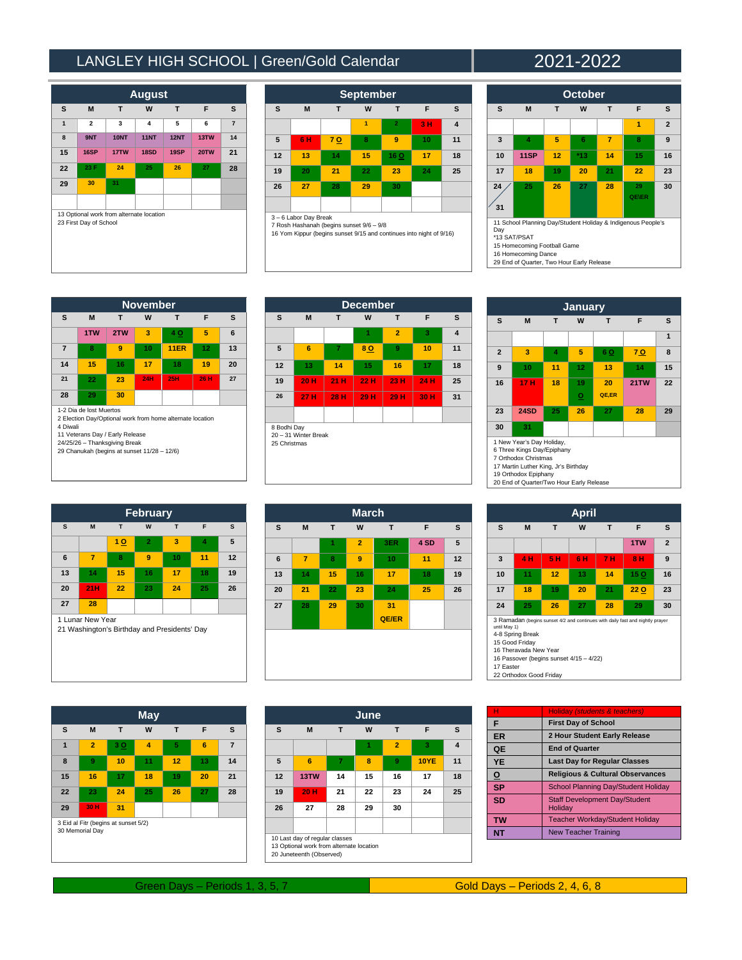## LANGLEY HIGH SCHOOL | Green/Gold Calendar | 2021-2022

| <b>August</b>                                                      |                |             |             |             |             |                |  |  |
|--------------------------------------------------------------------|----------------|-------------|-------------|-------------|-------------|----------------|--|--|
| s                                                                  | M              | T           | W           | T           | F           | S              |  |  |
| $\overline{1}$                                                     | $\overline{a}$ | 3           | 4           | 5           | 6           | $\overline{7}$ |  |  |
| 8                                                                  | 9NT            | <b>10NT</b> | <b>11NT</b> | <b>12NT</b> | 13TW        | 14             |  |  |
| 15                                                                 | 16SP           | 17TW        | <b>18SD</b> | 19SP        | <b>20TW</b> | 21             |  |  |
| 22                                                                 | 23 F           | 24          | 25          | 26          | 27          | 28             |  |  |
| 29                                                                 | 30             | 31          |             |             |             |                |  |  |
|                                                                    |                |             |             |             |             |                |  |  |
| 13 Optional work from alternate location<br>23 First Day of School |                |             |             |             |             |                |  |  |

| <b>September</b>                                                                                                                       |    |     |    |                |    |                         |  |  |
|----------------------------------------------------------------------------------------------------------------------------------------|----|-----|----|----------------|----|-------------------------|--|--|
| S                                                                                                                                      | M  | T   | W  | т              | F  | S                       |  |  |
|                                                                                                                                        |    |     | 1  | $\overline{2}$ | 3H | $\overline{\mathbf{4}}$ |  |  |
| 5                                                                                                                                      | 6H | 7 Q | 8  | 9              | 10 | 11                      |  |  |
| 12                                                                                                                                     | 13 | 14  | 15 | 16 O           | 17 | 18                      |  |  |
| 19                                                                                                                                     | 20 | 21  | 22 | 23             | 24 | 25                      |  |  |
| 26                                                                                                                                     | 27 | 28  | 29 | 30             |    |                         |  |  |
|                                                                                                                                        |    |     |    |                |    |                         |  |  |
| 3-6 Labor Day Break<br>7 Rosh Hashanah (begins sunset 9/6 - 9/8<br>16 Yom Kippur (begins sunset 9/15 and continues into night of 9/16) |    |     |    |                |    |                         |  |  |

| <b>October</b>                                                                                                                                                                         |      |    |     |    |             |                |  |
|----------------------------------------------------------------------------------------------------------------------------------------------------------------------------------------|------|----|-----|----|-------------|----------------|--|
| S                                                                                                                                                                                      | M    | т  | W   | т  | F           | s              |  |
|                                                                                                                                                                                        |      |    |     |    | 1           | $\overline{2}$ |  |
| 3                                                                                                                                                                                      | 4    | 5  | 6   | 7  | 8           | 9              |  |
| 10                                                                                                                                                                                     | 11SP | 12 | *13 | 14 | 15          | 16             |  |
| 17                                                                                                                                                                                     | 18   | 19 | 20  | 21 | 22          | 23             |  |
| 24<br>31                                                                                                                                                                               | 25   | 26 | 27  | 28 | 29<br>QE\ER | 30             |  |
| 11 School Planning Day/Student Holiday & Indigenous People's<br>Day<br>*13 SAT/PSAT<br>15 Homecoming Football Game<br>16 Homecoming Dance<br>29 End of Quarter, Two Hour Early Release |      |    |     |    |             |                |  |

**November**<br> **T W T S M T W T F S 1TW 2TW 3 4 O 5 6 7 8 9 10 11ER 12 13 14 15 16 17 18 19 20 21 22 23 24H 25H 26 H 27 28 29 30** 1-2 Dia de lost Muertos 2 Election Day/Optional work from home alternate location 4 Diwali 11 Veterans Day / Early Release 24/25/26 – Thanksgiving Break 29 Chanukah (begins at sunset 11/28 – 12/6)

| <b>December</b>                                     |      |                       |      |                |      |                         |  |  |  |
|-----------------------------------------------------|------|-----------------------|------|----------------|------|-------------------------|--|--|--|
| s                                                   | M    | T<br>W<br>F<br>s<br>T |      |                |      |                         |  |  |  |
|                                                     |      |                       | 1    | $\overline{2}$ | 3    | $\overline{\mathbf{4}}$ |  |  |  |
| 5                                                   | 6    | 7                     | 80   | 9              | 10   | 11                      |  |  |  |
| 12                                                  | 13   | 14                    | 15   | 16             | 17   | 18                      |  |  |  |
| 19                                                  | 20 H | 21 H                  | 22 H | 23 H           | 24 H | 25                      |  |  |  |
| 26                                                  | 27 H | 28 H                  | 29 H | 29 H           | 30 H | 31                      |  |  |  |
|                                                     |      |                       |      |                |      |                         |  |  |  |
| 8 Bodhi Day<br>20 - 31 Winter Break<br>25 Christmas |      |                       |      |                |      |                         |  |  |  |



| <b>February</b>                                                  |                |    |                |    |    |    |  |  |
|------------------------------------------------------------------|----------------|----|----------------|----|----|----|--|--|
| S                                                                | M              | T  | W              | T  | F  | S  |  |  |
|                                                                  |                | 10 | $\overline{2}$ | 3  | 4  | 5  |  |  |
| 6                                                                | $\overline{7}$ | 8  | 9              | 10 | 11 | 12 |  |  |
| 13                                                               | 14             | 15 | 16             | 17 | 18 | 19 |  |  |
| 20                                                               | 21H            | 22 | 23             | 24 | 25 | 26 |  |  |
| 27                                                               | 28             |    |                |    |    |    |  |  |
| 1 Lunar New Year<br>21 Washington's Birthday and Presidents' Day |                |    |                |    |    |    |  |  |

| <b>March</b> |                |    |                |              |      |    |  |  |
|--------------|----------------|----|----------------|--------------|------|----|--|--|
| s            | M              | T  | W              | T            | F    | s  |  |  |
|              |                | 1  | $\overline{2}$ | 3ER          | 4 SD | 5  |  |  |
| 6            | $\overline{7}$ | 8  | 9              | 10           | 11   | 12 |  |  |
| 13           | 14             | 15 | 16             | 17           | 18   | 19 |  |  |
| 20           | 21             | 22 | 23             | 24           | 25   | 26 |  |  |
| 27           | 28             | 29 | 30             | 31           |      |    |  |  |
|              |                |    |                | <b>QE/ER</b> |      |    |  |  |
|              |                |    |                |              |      |    |  |  |
|              |                |    |                |              |      |    |  |  |
|              |                |    |                |              |      |    |  |  |

|                                                         |                |            | <b>May</b> |    |    |                |
|---------------------------------------------------------|----------------|------------|------------|----|----|----------------|
| S                                                       | M              | T          | W          | T  | F  | S              |
| 1                                                       | $\overline{2}$ | 3 <u>O</u> | 4          | 5  | 6  | $\overline{7}$ |
| 8                                                       | 9              | 10         | 11         | 12 | 13 | 14             |
| 15                                                      | 16             | 17         | 18         | 19 | 20 | 21             |
| 22                                                      | 23             | 24         | 25         | 26 | 27 | 28             |
| 29                                                      | 30 H           | 31         |            |    |    |                |
| 3 Eid al Fitr (begins at sunset 5/2)<br>30 Memorial Day |                |            |            |    |    |                |

| June                                                                                                   |      |    |    |                |             |    |  |
|--------------------------------------------------------------------------------------------------------|------|----|----|----------------|-------------|----|--|
| s                                                                                                      | M    | т  | W  | T              | F           | s  |  |
|                                                                                                        |      |    | 1  | $\overline{2}$ | 3           | 4  |  |
| 5                                                                                                      | 6    | 7  | 8  | 9              | <b>10YE</b> | 11 |  |
| 12                                                                                                     | 13TW | 14 | 15 | 16             | 17          | 18 |  |
| 19                                                                                                     | 20 H | 21 | 22 | 23             | 24          | 25 |  |
| 26                                                                                                     | 27   | 28 | 29 | 30             |             |    |  |
|                                                                                                        |      |    |    |                |             |    |  |
| 10 Last day of regular classes<br>13 Optional work from alternate location<br>20 Juneteenth (Observed) |      |    |    |                |             |    |  |

|                                         |                         |     | <b>April</b> |     |                                                                               |                |  |  |
|-----------------------------------------|-------------------------|-----|--------------|-----|-------------------------------------------------------------------------------|----------------|--|--|
| S                                       | M                       | T   | W            | T   | F                                                                             | s              |  |  |
|                                         |                         |     |              |     | 1TW                                                                           | $\overline{2}$ |  |  |
| 3                                       | 4 H                     | 5 H | 6 H          | 7 H | 8 H                                                                           | 9              |  |  |
| 10                                      | 11                      | 12  | 13           | 14  | 15 <sub>O</sub>                                                               | 16             |  |  |
| 17                                      | 18                      | 19  | 20           | 21  | <b>22 O</b>                                                                   | 23             |  |  |
| 24                                      | 25                      | 26  | 27           | 28  | 29                                                                            | 30             |  |  |
| until May 1)                            | 4-8 Spring Break        |     |              |     | 3 Ramadan (begins sunset 4/2 and continues with daily fast and nightly prayer |                |  |  |
| 15 Good Friday<br>16 Theravada New Year |                         |     |              |     |                                                                               |                |  |  |
| 16 Passover (begins sunset 4/15 - 4/22) |                         |     |              |     |                                                                               |                |  |  |
| 17 Easter                               |                         |     |              |     |                                                                               |                |  |  |
|                                         | 22 Orthodox Good Friday |     |              |     |                                                                               |                |  |  |

| н         | Holiday (students & teachers)                   |
|-----------|-------------------------------------------------|
| F         | <b>First Day of School</b>                      |
| <b>ER</b> | 2 Hour Student Early Release                    |
| QE        | <b>End of Quarter</b>                           |
| <b>YE</b> | <b>Last Day for Regular Classes</b>             |
| <u>o</u>  | <b>Religious &amp; Cultural Observances</b>     |
| <b>SP</b> | School Planning Day/Student Holiday             |
| <b>SD</b> | <b>Staff Development Dav/Student</b><br>Holiday |
| <b>TW</b> | <b>Teacher Workday/Student Holiday</b>          |
| <b>NT</b> | <b>New Teacher Training</b>                     |